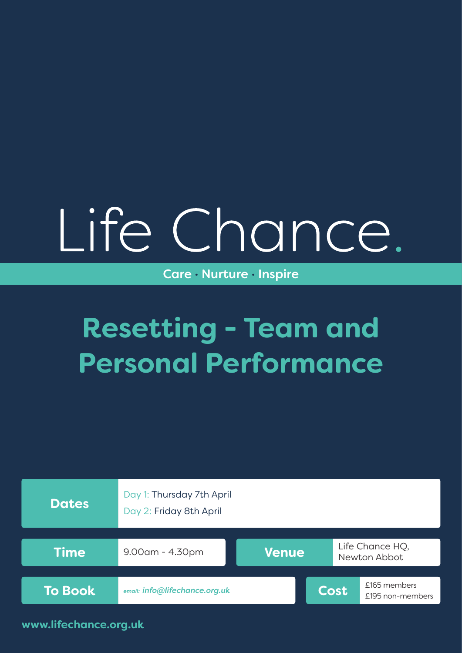# Life Chance.

Care · Nurture · Inspire

# **Resetting - Team and Personal Performance**



**www.lifechance.org.uk**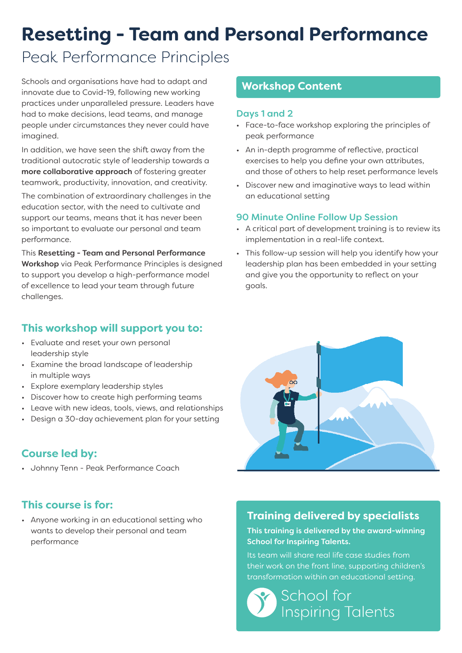# **Resetting - Team and Personal Performance**

# Peak Performance Principles

Schools and organisations have had to adapt and innovate due to Covid-19, following new working practices under unparalleled pressure. Leaders have had to make decisions, lead teams, and manage people under circumstances they never could have imagined.

In addition, we have seen the shift away from the traditional autocratic style of leadership towards a more collaborative approach of fostering greater teamwork, productivity, innovation, and creativity.

The combination of extraordinary challenges in the education sector, with the need to cultivate and support our teams, means that it has never been so important to evaluate our personal and team performance.

This Resetting - Team and Personal Performance Workshop via Peak Performance Principles is designed to support you develop a high-performance model of excellence to lead your team through future challenges.

## **This workshop will support you to:**

- Evaluate and reset your own personal leadership style
- Examine the broad landscape of leadership in multiple ways
- Explore exemplary leadership styles
- Discover how to create high performing teams
- Leave with new ideas, tools, views, and relationships
- Design a 30-day achievement plan for your setting

## **Course led by:**

• Johnny Tenn - Peak Performance Coach

## **This course is for:**

• Anyone working in an educational setting who wants to develop their personal and team performance

#### **Workshop Content**

#### Days 1 and 2

- Face-to-face workshop exploring the principles of peak performance
- An in-depth programme of reflective, practical exercises to help you define your own attributes, and those of others to help reset performance levels
- Discover new and imaginative ways to lead within an educational setting

#### 90 Minute Online Follow Up Session

- A critical part of development training is to review its implementation in a real-life context.
- This follow-up session will help you identify how your leadership plan has been embedded in your setting and give you the opportunity to reflect on your goals.



## **Training delivered by specialists**

#### This training is delivered by the award-winning School for Inspiring Talents.

Its team will share real life case studies from their work on the front line, supporting children's transformation within an educational setting.

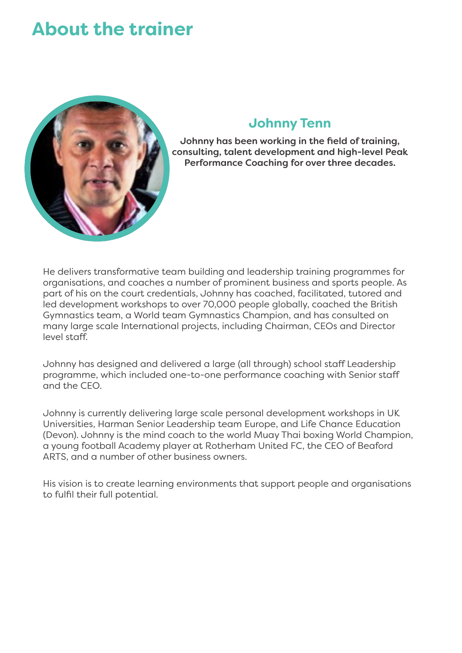# **About the trainer**



#### **Johnny Tenn**

Johnny has been working in the field of training, consulting, talent development and high-level Peak Performance Coaching for over three decades.

He delivers transformative team building and leadership training programmes for organisations, and coaches a number of prominent business and sports people. As part of his on the court credentials, Johnny has coached, facilitated, tutored and led development workshops to over 70,000 people globally, coached the British Gymnastics team, a World team Gymnastics Champion, and has consulted on many large scale International projects, including Chairman, CEOs and Director level staff.

Johnny has designed and delivered a large (all through) school staff Leadership programme, which included one-to-one performance coaching with Senior staff and the CEO.

Johnny is currently delivering large scale personal development workshops in UK Universities, Harman Senior Leadership team Europe, and Life Chance Education (Devon). Johnny is the mind coach to the world Muay Thai boxing World Champion, a young football Academy player at Rotherham United FC, the CEO of Beaford ARTS, and a number of other business owners.

His vision is to create learning environments that support people and organisations to fulfil their full potential.